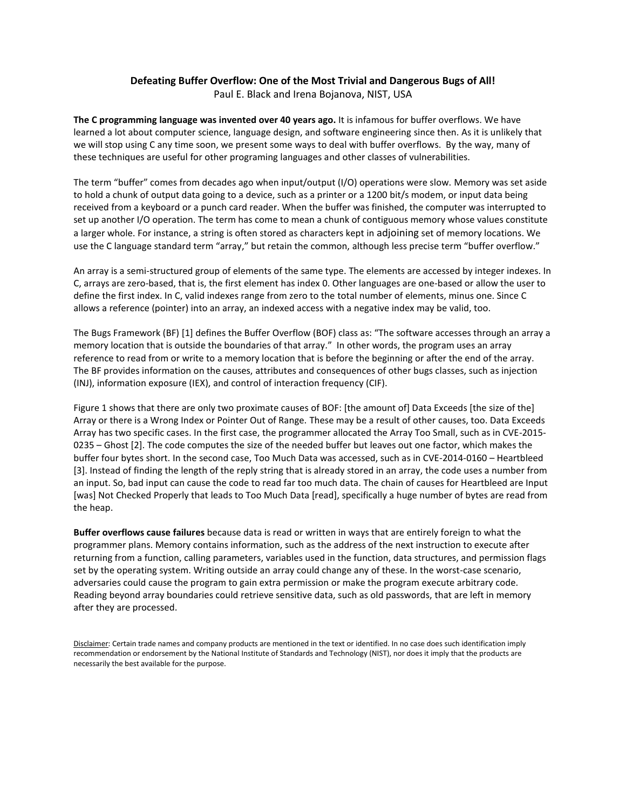## **Defeating Buffer Overflow: One of the Most Trivial and Dangerous Bugs of All!**

Paul E. Black and Irena Bojanova, NIST, USA

**The C programming language was invented over 40 years ago.** It is infamous for buffer overflows. We have learned a lot about computer science, language design, and software engineering since then. As it is unlikely that we will stop using C any time soon, we present some ways to deal with buffer overflows. By the way, many of these techniques are useful for other programing languages and other classes of vulnerabilities.

The term "buffer" comes from decades ago when input/output (I/O) operations were slow. Memory was set aside to hold a chunk of output data going to a device, such as a printer or a 1200 bit/s modem, or input data being received from a keyboard or a punch card reader. When the buffer was finished, the computer was interrupted to set up another I/O operation. The term has come to mean a chunk of contiguous memory whose values constitute a larger whole. For instance, a string is often stored as characters kept in adjoining set of memory locations. We use the C language standard term "array," but retain the common, although less precise term "buffer overflow."

An array is a semi-structured group of elements of the same type. The elements are accessed by integer indexes. In C, arrays are zero-based, that is, the first element has index 0. Other languages are one-based or allow the user to define the first index. In C, valid indexes range from zero to the total number of elements, minus one. Since C allows a reference (pointer) into an array, an indexed access with a negative index may be valid, too.

The Bugs Framework (BF) [1] defines the Buffer Overflow (BOF) class as: "The software accesses through an array a memory location that is outside the boundaries of that array." In other words, the program uses an array reference to read from or write to a memory location that is before the beginning or after the end of the array. The BF provides information on the causes, attributes and consequences of other bugs classes, such as injection (INJ), information exposure (IEX), and control of interaction frequency (CIF).

Figure 1 shows that there are only two proximate causes of BOF: [the amount of] Data Exceeds [the size of the] Array or there is a Wrong Index or Pointer Out of Range. These may be a result of other causes, too. Data Exceeds Array has two specific cases. In the first case, the programmer allocated the Array Too Small, such as in CVE-2015- 0235 – Ghost [2]. The code computes the size of the needed buffer but leaves out one factor, which makes the buffer four bytes short. In the second case, Too Much Data was accessed, such as in CVE-2014-0160 – Heartbleed [3]. Instead of finding the length of the reply string that is already stored in an array, the code uses a number from an input. So, bad input can cause the code to read far too much data. The chain of causes for Heartbleed are Input [was] Not Checked Properly that leads to Too Much Data [read], specifically a huge number of bytes are read from the heap.

**Buffer overflows cause failures** because data is read or written in ways that are entirely foreign to what the programmer plans. Memory contains information, such as the address of the next instruction to execute after returning from a function, calling parameters, variables used in the function, data structures, and permission flags set by the operating system. Writing outside an array could change any of these. In the worst-case scenario, adversaries could cause the program to gain extra permission or make the program execute arbitrary code. Reading beyond array boundaries could retrieve sensitive data, such as old passwords, that are left in memory after they are processed.

Disclaimer: Certain trade names and company products are mentioned in the text or identified. In no case does such identification imply recommendation or endorsement by the National Institute of Standards and Technology (NIST), nor does it imply that the products are necessarily the best available for the purpose.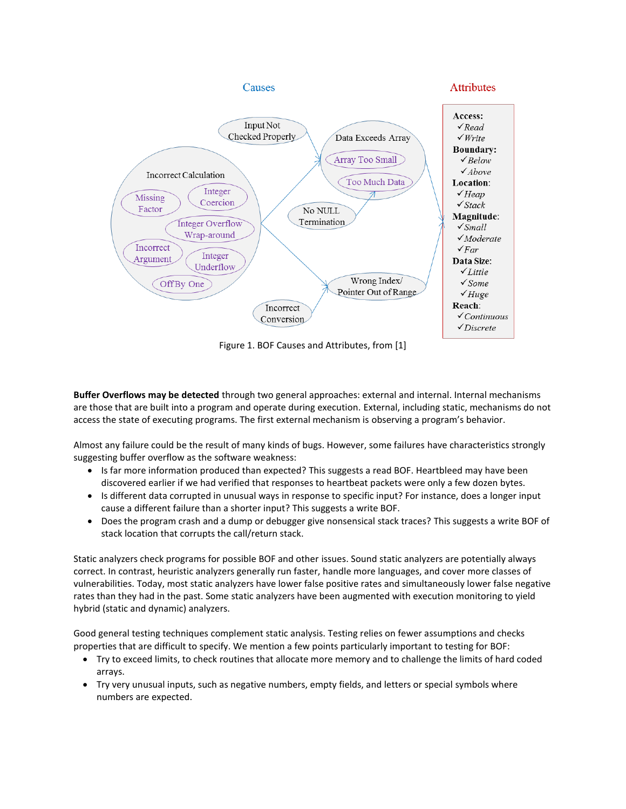

Figure 1. BOF Causes and Attributes, from [1]

**Buffer Overflows may be detected** through two general approaches: external and internal. Internal mechanisms are those that are built into a program and operate during execution. External, including static, mechanisms do not access the state of executing programs. The first external mechanism is observing a program's behavior.

Almost any failure could be the result of many kinds of bugs. However, some failures have characteristics strongly suggesting buffer overflow as the software weakness:

- Is far more information produced than expected? This suggests a read BOF. Heartbleed may have been discovered earlier if we had verified that responses to heartbeat packets were only a few dozen bytes.
- Is different data corrupted in unusual ways in response to specific input? For instance, does a longer input cause a different failure than a shorter input? This suggests a write BOF.
- Does the program crash and a dump or debugger give nonsensical stack traces? This suggests a write BOF of stack location that corrupts the call/return stack.

Static analyzers check programs for possible BOF and other issues. Sound static analyzers are potentially always correct. In contrast, heuristic analyzers generally run faster, handle more languages, and cover more classes of vulnerabilities. Today, most static analyzers have lower false positive rates and simultaneously lower false negative rates than they had in the past. Some static analyzers have been augmented with execution monitoring to yield hybrid (static and dynamic) analyzers.

Good general testing techniques complement static analysis. Testing relies on fewer assumptions and checks properties that are difficult to specify. We mention a few points particularly important to testing for BOF:

- Try to exceed limits, to check routines that allocate more memory and to challenge the limits of hard coded arrays.
- Try very unusual inputs, such as negative numbers, empty fields, and letters or special symbols where numbers are expected.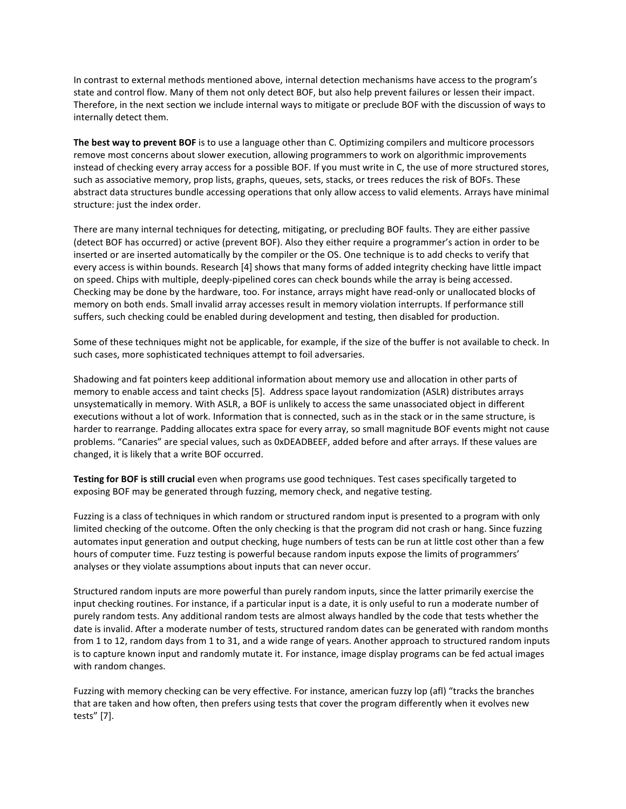In contrast to external methods mentioned above, internal detection mechanisms have access to the program's state and control flow. Many of them not only detect BOF, but also help prevent failures or lessen their impact. Therefore, in the next section we include internal ways to mitigate or preclude BOF with the discussion of ways to internally detect them.

**The best way to prevent BOF** is to use a language other than C. Optimizing compilers and multicore processors remove most concerns about slower execution, allowing programmers to work on algorithmic improvements instead of checking every array access for a possible BOF. If you must write in C, the use of more structured stores, such as associative memory, prop lists, graphs, queues, sets, stacks, or trees reduces the risk of BOFs. These abstract data structures bundle accessing operations that only allow access to valid elements. Arrays have minimal structure: just the index order.

There are many internal techniques for detecting, mitigating, or precluding BOF faults. They are either passive (detect BOF has occurred) or active (prevent BOF). Also they either require a programmer's action in order to be inserted or are inserted automatically by the compiler or the OS. One technique is to add checks to verify that every access is within bounds. Research [4] shows that many forms of added integrity checking have little impact on speed. Chips with multiple, deeply-pipelined cores can check bounds while the array is being accessed. Checking may be done by the hardware, too. For instance, arrays might have read-only or unallocated blocks of memory on both ends. Small invalid array accesses result in memory violation interrupts. If performance still suffers, such checking could be enabled during development and testing, then disabled for production.

Some of these techniques might not be applicable, for example, if the size of the buffer is not available to check. In such cases, more sophisticated techniques attempt to foil adversaries.

Shadowing and fat pointers keep additional information about memory use and allocation in other parts of memory to enable access and taint checks [5]. Address space layout randomization (ASLR) distributes arrays unsystematically in memory. With ASLR, a BOF is unlikely to access the same unassociated object in different executions without a lot of work. Information that is connected, such as in the stack or in the same structure, is harder to rearrange. Padding allocates extra space for every array, so small magnitude BOF events might not cause problems. "Canaries" are special values, such as 0xDEADBEEF, added before and after arrays. If these values are changed, it is likely that a write BOF occurred.

**Testing for BOF is still crucial** even when programs use good techniques. Test cases specifically targeted to exposing BOF may be generated through fuzzing, memory check, and negative testing.

Fuzzing is a class of techniques in which random or structured random input is presented to a program with only limited checking of the outcome. Often the only checking is that the program did not crash or hang. Since fuzzing automates input generation and output checking, huge numbers of tests can be run at little cost other than a few hours of computer time. Fuzz testing is powerful because random inputs expose the limits of programmers' analyses or they violate assumptions about inputs that can never occur.

Structured random inputs are more powerful than purely random inputs, since the latter primarily exercise the input checking routines. For instance, if a particular input is a date, it is only useful to run a moderate number of purely random tests. Any additional random tests are almost always handled by the code that tests whether the date is invalid. After a moderate number of tests, structured random dates can be generated with random months from 1 to 12, random days from 1 to 31, and a wide range of years. Another approach to structured random inputs is to capture known input and randomly mutate it. For instance, image display programs can be fed actual images with random changes.

Fuzzing with memory checking can be very effective. For instance, american fuzzy lop (afl) "tracks the branches that are taken and how often, then prefers using tests that cover the program differently when it evolves new tests" [7].